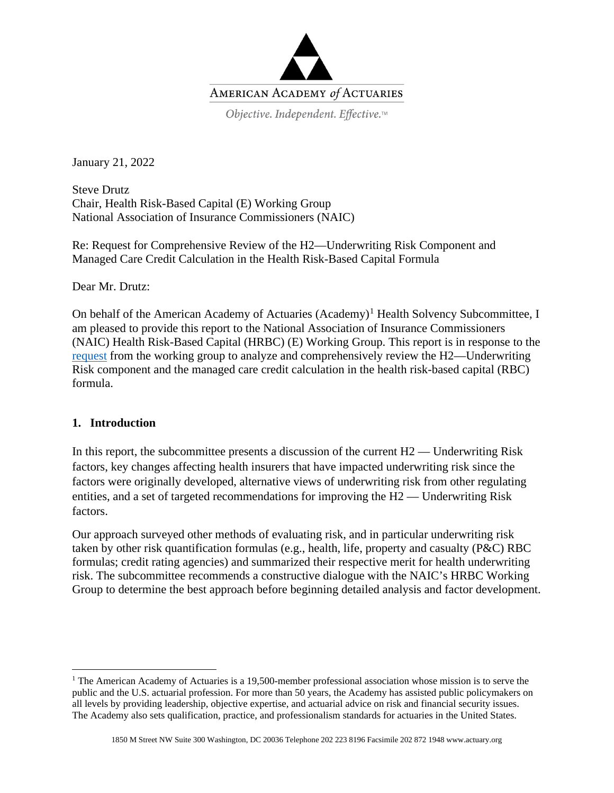

January 21, 2022

Steve Drutz Chair, Health Risk-Based Capital (E) Working Group National Association of Insurance Commissioners (NAIC)

Re: Request for Comprehensive Review of the H2—Underwriting Risk Component and Managed Care Credit Calculation in the Health Risk-Based Capital Formula

Dear Mr. Drutz:

On behalf of the American Academy of Actuaries  $(Academy)^1$  $(Academy)^1$  Health Solvency Subcommittee, I am pleased to provide this report to the National Association of Insurance Commissioners (NAIC) Health Risk-Based Capital (HRBC) (E) Working Group. This report is in response to the [request](https://content.naic.org/sites/default/files/call_materials/2021_June_08%20Agenda%20%26%20Materials.pdf) from the working group to analyze and comprehensively review the H2—Underwriting Risk component and the managed care credit calculation in the health risk-based capital (RBC) formula.

## **1. Introduction**

In this report, the subcommittee presents a discussion of the current H2 — Underwriting Risk factors, key changes affecting health insurers that have impacted underwriting risk since the factors were originally developed, alternative views of underwriting risk from other regulating entities, and a set of targeted recommendations for improving the H2 — Underwriting Risk factors.

Our approach surveyed other methods of evaluating risk, and in particular underwriting risk taken by other risk quantification formulas (e.g., health, life, property and casualty (P&C) RBC formulas; credit rating agencies) and summarized their respective merit for health underwriting risk. The subcommittee recommends a constructive dialogue with the NAIC's HRBC Working Group to determine the best approach before beginning detailed analysis and factor development.

<span id="page-0-0"></span><sup>&</sup>lt;sup>1</sup> The American Academy of Actuaries is a 19,500-member professional association whose mission is to serve the public and the U.S. actuarial profession. For more than 50 years, the Academy has assisted public policymakers on all levels by providing leadership, objective expertise, and actuarial advice on risk and financial security issues. The Academy also sets qualification, practice, and professionalism standards for actuaries in the United States.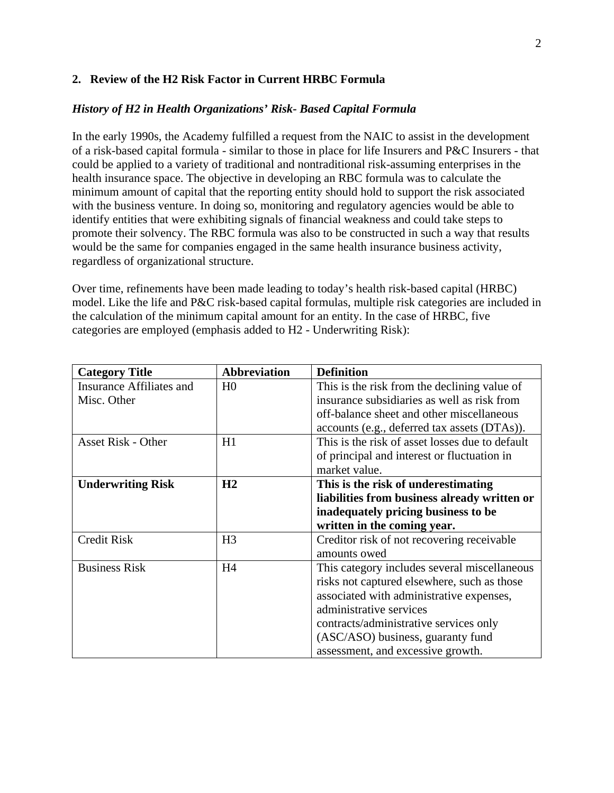#### **2. Review of the H2 Risk Factor in Current HRBC Formula**

#### *History of H2 in Health Organizations' Risk- Based Capital Formula*

In the early 1990s, the Academy fulfilled a request from the NAIC to assist in the development of a risk-based capital formula - similar to those in place for life Insurers and P&C Insurers - that could be applied to a variety of traditional and nontraditional risk-assuming enterprises in the health insurance space. The objective in developing an RBC formula was to calculate the minimum amount of capital that the reporting entity should hold to support the risk associated with the business venture. In doing so, monitoring and regulatory agencies would be able to identify entities that were exhibiting signals of financial weakness and could take steps to promote their solvency. The RBC formula was also to be constructed in such a way that results would be the same for companies engaged in the same health insurance business activity, regardless of organizational structure.

Over time, refinements have been made leading to today's health risk-based capital (HRBC) model. Like the life and P&C risk-based capital formulas, multiple risk categories are included in the calculation of the minimum capital amount for an entity. In the case of HRBC, five categories are employed (emphasis added to H2 - Underwriting Risk):

| <b>Category Title</b>     | <b>Abbreviation</b> | <b>Definition</b>                               |  |
|---------------------------|---------------------|-------------------------------------------------|--|
| Insurance Affiliates and  | H <sub>0</sub>      | This is the risk from the declining value of    |  |
| Misc. Other               |                     | insurance subsidiaries as well as risk from     |  |
|                           |                     | off-balance sheet and other miscellaneous       |  |
|                           |                     | accounts (e.g., deferred tax assets (DTAs)).    |  |
| <b>Asset Risk - Other</b> | H1                  | This is the risk of asset losses due to default |  |
|                           |                     | of principal and interest or fluctuation in     |  |
|                           |                     | market value.                                   |  |
| <b>Underwriting Risk</b>  | H2                  | This is the risk of underestimating             |  |
|                           |                     | liabilities from business already written or    |  |
|                           |                     | inadequately pricing business to be             |  |
|                           |                     | written in the coming year.                     |  |
| <b>Credit Risk</b>        | H <sub>3</sub>      | Creditor risk of not recovering receivable      |  |
|                           |                     | amounts owed                                    |  |
| <b>Business Risk</b>      | H4                  | This category includes several miscellaneous    |  |
|                           |                     | risks not captured elsewhere, such as those     |  |
|                           |                     | associated with administrative expenses,        |  |
|                           |                     | administrative services                         |  |
|                           |                     | contracts/administrative services only          |  |
|                           |                     | (ASC/ASO) business, guaranty fund               |  |
|                           |                     | assessment, and excessive growth.               |  |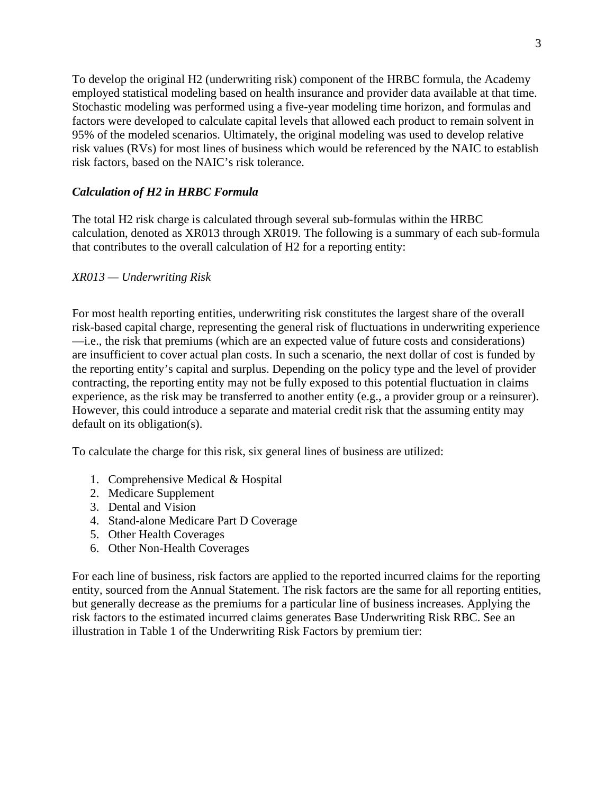To develop the original H2 (underwriting risk) component of the HRBC formula, the Academy employed statistical modeling based on health insurance and provider data available at that time. Stochastic modeling was performed using a five-year modeling time horizon, and formulas and factors were developed to calculate capital levels that allowed each product to remain solvent in 95% of the modeled scenarios. Ultimately, the original modeling was used to develop relative risk values (RVs) for most lines of business which would be referenced by the NAIC to establish risk factors, based on the NAIC's risk tolerance.

#### *Calculation of H2 in HRBC Formula*

The total H2 risk charge is calculated through several sub-formulas within the HRBC calculation, denoted as XR013 through XR019. The following is a summary of each sub-formula that contributes to the overall calculation of H2 for a reporting entity:

#### *XR013 — Underwriting Risk*

For most health reporting entities, underwriting risk constitutes the largest share of the overall risk-based capital charge, representing the general risk of fluctuations in underwriting experience —i.e., the risk that premiums (which are an expected value of future costs and considerations) are insufficient to cover actual plan costs. In such a scenario, the next dollar of cost is funded by the reporting entity's capital and surplus. Depending on the policy type and the level of provider contracting, the reporting entity may not be fully exposed to this potential fluctuation in claims experience, as the risk may be transferred to another entity (e.g., a provider group or a reinsurer). However, this could introduce a separate and material credit risk that the assuming entity may default on its obligation(s).

To calculate the charge for this risk, six general lines of business are utilized:

- 1. Comprehensive Medical & Hospital
- 2. Medicare Supplement
- 3. Dental and Vision
- 4. Stand-alone Medicare Part D Coverage
- 5. Other Health Coverages
- 6. Other Non-Health Coverages

For each line of business, risk factors are applied to the reported incurred claims for the reporting entity, sourced from the Annual Statement. The risk factors are the same for all reporting entities, but generally decrease as the premiums for a particular line of business increases. Applying the risk factors to the estimated incurred claims generates Base Underwriting Risk RBC. See an illustration in Table 1 of the Underwriting Risk Factors by premium tier: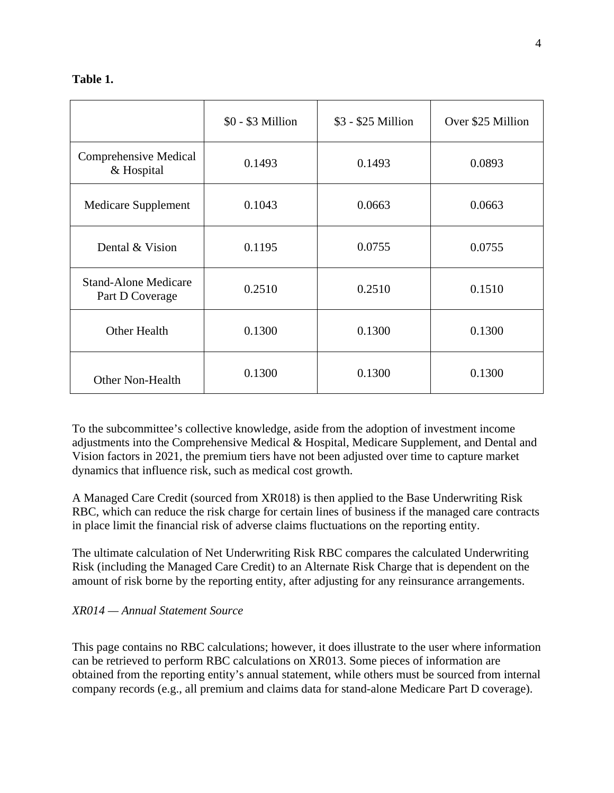## **Table 1.**

|                                                | $$0 - $3$ Million | \$3 - \$25 Million | Over \$25 Million |
|------------------------------------------------|-------------------|--------------------|-------------------|
| Comprehensive Medical<br>& Hospital            | 0.1493            | 0.1493             | 0.0893            |
| <b>Medicare Supplement</b>                     | 0.1043            | 0.0663             | 0.0663            |
| Dental & Vision                                | 0.1195            | 0.0755             | 0.0755            |
| <b>Stand-Alone Medicare</b><br>Part D Coverage | 0.2510            | 0.2510             | 0.1510            |
| <b>Other Health</b><br>0.1300                  |                   | 0.1300             | 0.1300            |
| <b>Other Non-Health</b>                        | 0.1300            | 0.1300             | 0.1300            |

To the subcommittee's collective knowledge, aside from the adoption of investment income adjustments into the Comprehensive Medical & Hospital, Medicare Supplement, and Dental and Vision factors in 2021, the premium tiers have not been adjusted over time to capture market dynamics that influence risk, such as medical cost growth.

A Managed Care Credit (sourced from XR018) is then applied to the Base Underwriting Risk RBC, which can reduce the risk charge for certain lines of business if the managed care contracts in place limit the financial risk of adverse claims fluctuations on the reporting entity.

The ultimate calculation of Net Underwriting Risk RBC compares the calculated Underwriting Risk (including the Managed Care Credit) to an Alternate Risk Charge that is dependent on the amount of risk borne by the reporting entity, after adjusting for any reinsurance arrangements.

## *XR014 — Annual Statement Source*

This page contains no RBC calculations; however, it does illustrate to the user where information can be retrieved to perform RBC calculations on XR013. Some pieces of information are obtained from the reporting entity's annual statement, while others must be sourced from internal company records (e.g., all premium and claims data for stand-alone Medicare Part D coverage).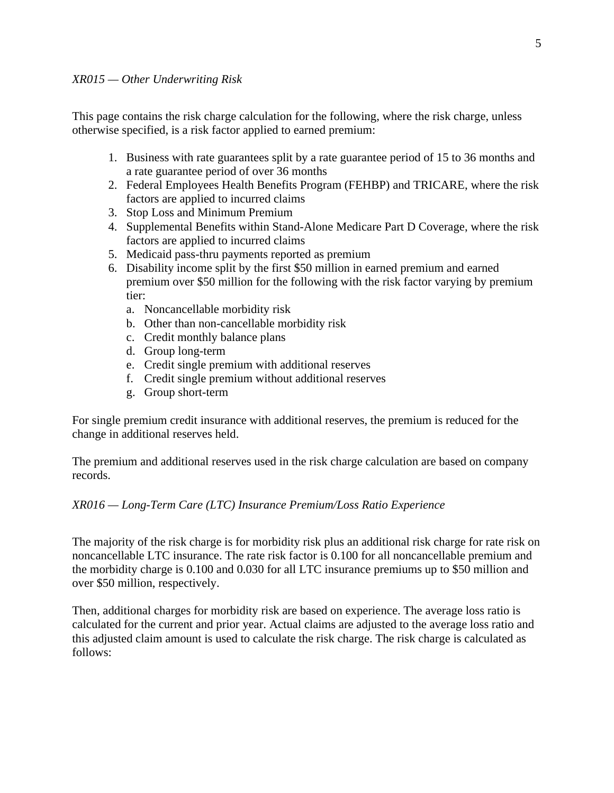This page contains the risk charge calculation for the following, where the risk charge, unless otherwise specified, is a risk factor applied to earned premium:

- 1. Business with rate guarantees split by a rate guarantee period of 15 to 36 months and a rate guarantee period of over 36 months
- 2. Federal Employees Health Benefits Program (FEHBP) and TRICARE, where the risk factors are applied to incurred claims
- 3. Stop Loss and Minimum Premium
- 4. Supplemental Benefits within Stand-Alone Medicare Part D Coverage, where the risk factors are applied to incurred claims
- 5. Medicaid pass-thru payments reported as premium
- 6. Disability income split by the first \$50 million in earned premium and earned premium over \$50 million for the following with the risk factor varying by premium tier:
	- a. Noncancellable morbidity risk
	- b. Other than non-cancellable morbidity risk
	- c. Credit monthly balance plans
	- d. Group long-term
	- e. Credit single premium with additional reserves
	- f. Credit single premium without additional reserves
	- g. Group short-term

For single premium credit insurance with additional reserves, the premium is reduced for the change in additional reserves held.

The premium and additional reserves used in the risk charge calculation are based on company records.

#### *XR016 — Long-Term Care (LTC) Insurance Premium/Loss Ratio Experience*

The majority of the risk charge is for morbidity risk plus an additional risk charge for rate risk on noncancellable LTC insurance. The rate risk factor is 0.100 for all noncancellable premium and the morbidity charge is 0.100 and 0.030 for all LTC insurance premiums up to \$50 million and over \$50 million, respectively.

Then, additional charges for morbidity risk are based on experience. The average loss ratio is calculated for the current and prior year. Actual claims are adjusted to the average loss ratio and this adjusted claim amount is used to calculate the risk charge. The risk charge is calculated as follows: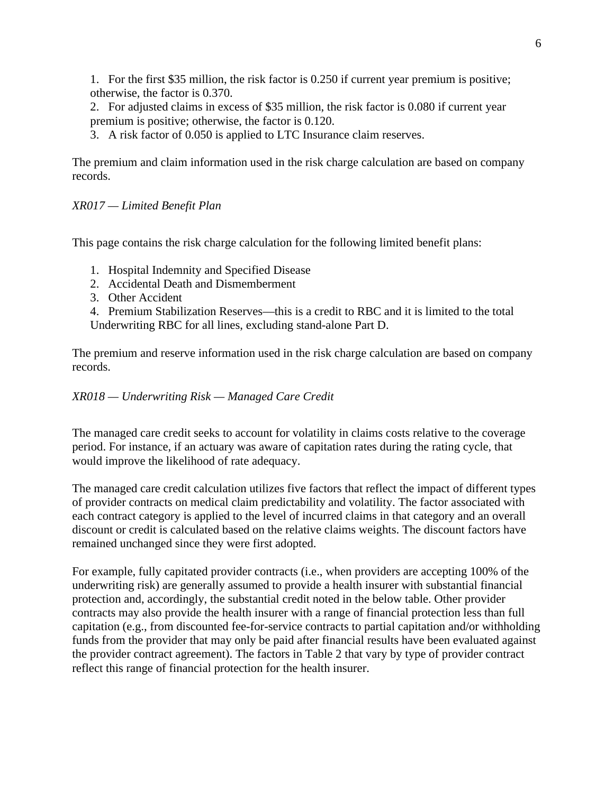1. For the first \$35 million, the risk factor is 0.250 if current year premium is positive; otherwise, the factor is 0.370.

2. For adjusted claims in excess of \$35 million, the risk factor is 0.080 if current year premium is positive; otherwise, the factor is 0.120.

3. A risk factor of 0.050 is applied to LTC Insurance claim reserves.

The premium and claim information used in the risk charge calculation are based on company records.

# *XR017 — Limited Benefit Plan*

This page contains the risk charge calculation for the following limited benefit plans:

- 1. Hospital Indemnity and Specified Disease
- 2. Accidental Death and Dismemberment
- 3. Other Accident

4. Premium Stabilization Reserves—this is a credit to RBC and it is limited to the total Underwriting RBC for all lines, excluding stand-alone Part D.

The premium and reserve information used in the risk charge calculation are based on company records.

## *XR018 — Underwriting Risk — Managed Care Credit*

The managed care credit seeks to account for volatility in claims costs relative to the coverage period. For instance, if an actuary was aware of capitation rates during the rating cycle, that would improve the likelihood of rate adequacy.

The managed care credit calculation utilizes five factors that reflect the impact of different types of provider contracts on medical claim predictability and volatility. The factor associated with each contract category is applied to the level of incurred claims in that category and an overall discount or credit is calculated based on the relative claims weights. The discount factors have remained unchanged since they were first adopted.

For example, fully capitated provider contracts (i.e., when providers are accepting 100% of the underwriting risk) are generally assumed to provide a health insurer with substantial financial protection and, accordingly, the substantial credit noted in the below table. Other provider contracts may also provide the health insurer with a range of financial protection less than full capitation (e.g., from discounted fee-for-service contracts to partial capitation and/or withholding funds from the provider that may only be paid after financial results have been evaluated against the provider contract agreement). The factors in Table 2 that vary by type of provider contract reflect this range of financial protection for the health insurer.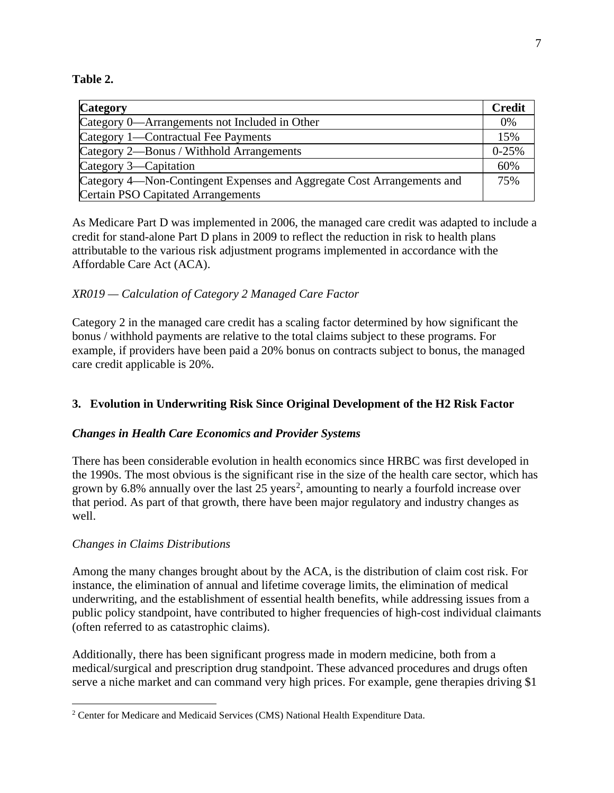**Table 2.**

| <b>Category</b>                                                        | <b>Credit</b> |
|------------------------------------------------------------------------|---------------|
| Category 0—Arrangements not Included in Other                          | 0%            |
| Category 1—Contractual Fee Payments                                    | 15%           |
| Category 2—Bonus / Withhold Arrangements                               | $0-25%$       |
| Category 3—Capitation                                                  | 60%           |
| Category 4—Non-Contingent Expenses and Aggregate Cost Arrangements and | 75%           |
| Certain PSO Capitated Arrangements                                     |               |

As Medicare Part D was implemented in 2006, the managed care credit was adapted to include a credit for stand-alone Part D plans in 2009 to reflect the reduction in risk to health plans attributable to the various risk adjustment programs implemented in accordance with the Affordable Care Act (ACA).

## *XR019 — Calculation of Category 2 Managed Care Factor*

Category 2 in the managed care credit has a scaling factor determined by how significant the bonus / withhold payments are relative to the total claims subject to these programs. For example, if providers have been paid a 20% bonus on contracts subject to bonus, the managed care credit applicable is 20%.

## **3. Evolution in Underwriting Risk Since Original Development of the H2 Risk Factor**

## *Changes in Health Care Economics and Provider Systems*

There has been considerable evolution in health economics since HRBC was first developed in the 1990s. The most obvious is the significant rise in the size of the health care sector, which has grown by 6.8% annually over the last [2](#page-6-0)5 years<sup>2</sup>, amounting to nearly a fourfold increase over that period. As part of that growth, there have been major regulatory and industry changes as well.

## *Changes in Claims Distributions*

Among the many changes brought about by the ACA, is the distribution of claim cost risk. For instance, the elimination of annual and lifetime coverage limits, the elimination of medical underwriting, and the establishment of essential health benefits, while addressing issues from a public policy standpoint, have contributed to higher frequencies of high-cost individual claimants (often referred to as catastrophic claims).

Additionally, there has been significant progress made in modern medicine, both from a medical/surgical and prescription drug standpoint. These advanced procedures and drugs often serve a niche market and can command very high prices. For example, gene therapies driving \$1

<span id="page-6-0"></span><sup>&</sup>lt;sup>2</sup> Center for Medicare and Medicaid Services (CMS) National Health Expenditure Data.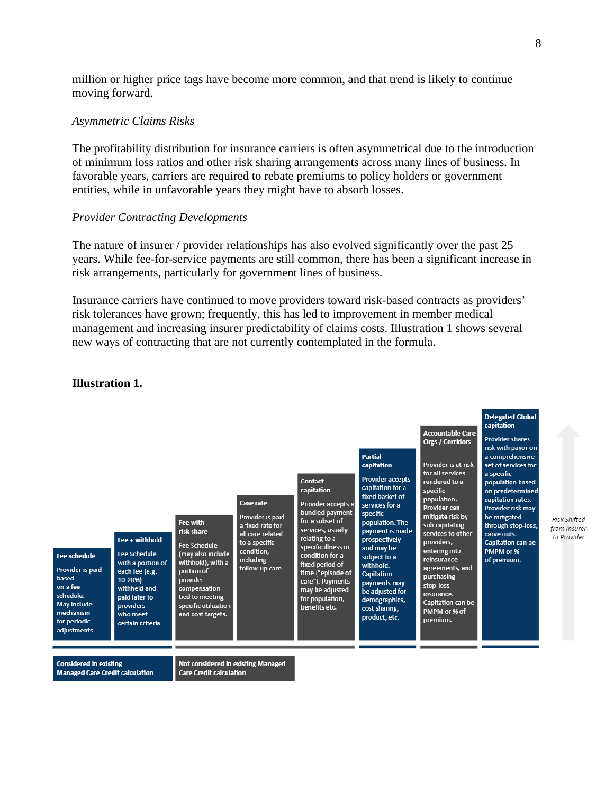million or higher price tags have become more common, and that trend is likely to continue moving forward.

#### *Asymmetric Claims Risks*

The profitability distribution for insurance carriers is often asymmetrical due to the introduction of minimum loss ratios and other risk sharing arrangements across many lines of business. In favorable years, carriers are required to rebate premiums to policy holders or government entities, while in unfavorable years they might have to absorb losses.

#### *Provider Contracting Developments*

The nature of insurer / provider relationships has also evolved significantly over the past 25 years. While fee-for-service payments are still common, there has been a significant increase in risk arrangements, particularly for government lines of business.

Insurance carriers have continued to move providers toward risk-based contracts as providers' risk tolerances have grown; frequently, this has led to improvement in member medical management and increasing insurer predictability of claims costs. Illustration 1 shows several new ways of contracting that are not currently contemplated in the formula.



#### **Illustration 1.**

**Considered in existing Managed Care Credit calculation**  **Not considered in existing Managed Care Credit calculation**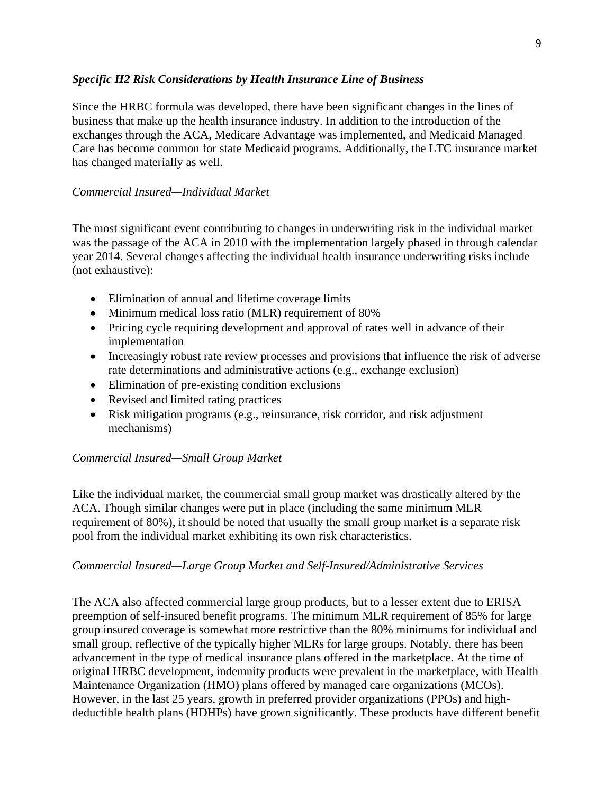## *Specific H2 Risk Considerations by Health Insurance Line of Business*

Since the HRBC formula was developed, there have been significant changes in the lines of business that make up the health insurance industry. In addition to the introduction of the exchanges through the ACA, Medicare Advantage was implemented, and Medicaid Managed Care has become common for state Medicaid programs. Additionally, the LTC insurance market has changed materially as well.

## *Commercial Insured—Individual Market*

The most significant event contributing to changes in underwriting risk in the individual market was the passage of the ACA in 2010 with the implementation largely phased in through calendar year 2014. Several changes affecting the individual health insurance underwriting risks include (not exhaustive):

- Elimination of annual and lifetime coverage limits
- Minimum medical loss ratio (MLR) requirement of 80%
- Pricing cycle requiring development and approval of rates well in advance of their implementation
- Increasingly robust rate review processes and provisions that influence the risk of adverse rate determinations and administrative actions (e.g., exchange exclusion)
- Elimination of pre-existing condition exclusions
- Revised and limited rating practices
- Risk mitigation programs (e.g., reinsurance, risk corridor, and risk adjustment mechanisms)

# *Commercial Insured—Small Group Market*

Like the individual market, the commercial small group market was drastically altered by the ACA. Though similar changes were put in place (including the same minimum MLR requirement of 80%), it should be noted that usually the small group market is a separate risk pool from the individual market exhibiting its own risk characteristics.

## *Commercial Insured—Large Group Market and Self-Insured/Administrative Services*

The ACA also affected commercial large group products, but to a lesser extent due to ERISA preemption of self-insured benefit programs. The minimum MLR requirement of 85% for large group insured coverage is somewhat more restrictive than the 80% minimums for individual and small group, reflective of the typically higher MLRs for large groups. Notably, there has been advancement in the type of medical insurance plans offered in the marketplace. At the time of original HRBC development, indemnity products were prevalent in the marketplace, with Health Maintenance Organization (HMO) plans offered by managed care organizations (MCOs). However, in the last 25 years, growth in preferred provider organizations (PPOs) and highdeductible health plans (HDHPs) have grown significantly. These products have different benefit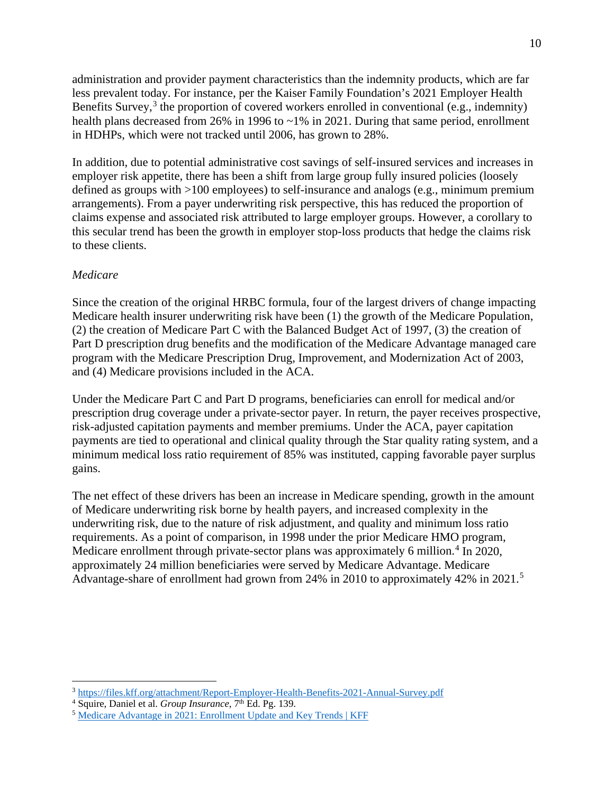administration and provider payment characteristics than the indemnity products, which are far less prevalent today. For instance, per the Kaiser Family Foundation's 2021 Employer Health Benefits Survey,<sup>[3](#page-9-0)</sup> the proportion of covered workers enrolled in conventional (e.g., indemnity) health plans decreased from 26% in 1996 to ~1% in 2021. During that same period, enrollment in HDHPs, which were not tracked until 2006, has grown to 28%.

In addition, due to potential administrative cost savings of self-insured services and increases in employer risk appetite, there has been a shift from large group fully insured policies (loosely defined as groups with >100 employees) to self-insurance and analogs (e.g., minimum premium arrangements). From a payer underwriting risk perspective, this has reduced the proportion of claims expense and associated risk attributed to large employer groups. However, a corollary to this secular trend has been the growth in employer stop-loss products that hedge the claims risk to these clients.

## *Medicare*

Since the creation of the original HRBC formula, four of the largest drivers of change impacting Medicare health insurer underwriting risk have been (1) the growth of the Medicare Population, (2) the creation of Medicare Part C with the Balanced Budget Act of 1997, (3) the creation of Part D prescription drug benefits and the modification of the Medicare Advantage managed care program with the Medicare Prescription Drug, Improvement, and Modernization Act of 2003, and (4) Medicare provisions included in the ACA.

Under the Medicare Part C and Part D programs, beneficiaries can enroll for medical and/or prescription drug coverage under a private-sector payer. In return, the payer receives prospective, risk-adjusted capitation payments and member premiums. Under the ACA, payer capitation payments are tied to operational and clinical quality through the Star quality rating system, and a minimum medical loss ratio requirement of 85% was instituted, capping favorable payer surplus gains.

The net effect of these drivers has been an increase in Medicare spending, growth in the amount of Medicare underwriting risk borne by health payers, and increased complexity in the underwriting risk, due to the nature of risk adjustment, and quality and minimum loss ratio requirements. As a point of comparison, in 1998 under the prior Medicare HMO program, Medicare enrollment through private-sector plans was approximately 6 million.<sup>[4](#page-9-1)</sup> In 2020, approximately 24 million beneficiaries were served by Medicare Advantage. Medicare Advantage-share of enrollment had grown from 24% in 2010 to approximately 42% in 2021.<sup>[5](#page-9-2)</sup>

<span id="page-9-0"></span><sup>3</sup> <https://files.kff.org/attachment/Report-Employer-Health-Benefits-2021-Annual-Survey.pdf>

<span id="page-9-1"></span><sup>&</sup>lt;sup>4</sup> Squire, Daniel et al. *Group Insurance*, 7<sup>th</sup> Ed. Pg. 139.

<span id="page-9-2"></span><sup>5</sup> [Medicare Advantage in 2021: Enrollment Update and Key Trends | KFF](https://www.kff.org/medicare/issue-brief/medicare-advantage-in-2021-enrollment-update-and-key-trends/)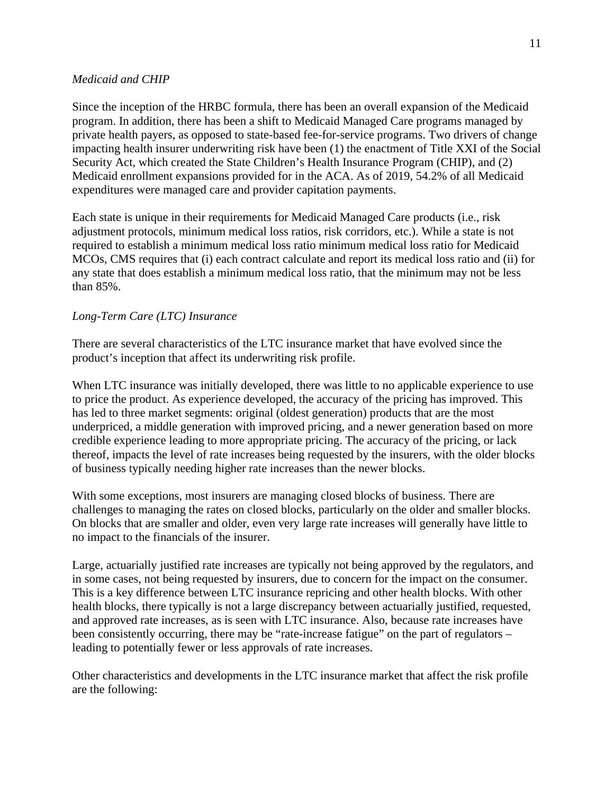#### *Medicaid and CHIP*

Since the inception of the HRBC formula, there has been an overall expansion of the Medicaid program. In addition, there has been a shift to Medicaid Managed Care programs managed by private health payers, as opposed to state-based fee-for-service programs. Two drivers of change impacting health insurer underwriting risk have been (1) the enactment of Title XXI of the Social Security Act, which created the State Children's Health Insurance Program (CHIP), and (2) Medicaid enrollment expansions provided for in the ACA. As of 2019, 54.2% of all Medicaid expenditures were managed care and provider capitation payments.

Each state is unique in their requirements for Medicaid Managed Care products (i.e., risk adjustment protocols, minimum medical loss ratios, risk corridors, etc.). While a state is not required to establish a minimum medical loss ratio minimum medical loss ratio for Medicaid MCOs, CMS requires that (i) each contract calculate and report its medical loss ratio and (ii) for any state that does establish a minimum medical loss ratio, that the minimum may not be less than 85%.

## *Long-Term Care (LTC) Insurance*

There are several characteristics of the LTC insurance market that have evolved since the product's inception that affect its underwriting risk profile.

When LTC insurance was initially developed, there was little to no applicable experience to use to price the product. As experience developed, the accuracy of the pricing has improved. This has led to three market segments: original (oldest generation) products that are the most underpriced, a middle generation with improved pricing, and a newer generation based on more credible experience leading to more appropriate pricing. The accuracy of the pricing, or lack thereof, impacts the level of rate increases being requested by the insurers, with the older blocks of business typically needing higher rate increases than the newer blocks.

With some exceptions, most insurers are managing closed blocks of business. There are challenges to managing the rates on closed blocks, particularly on the older and smaller blocks. On blocks that are smaller and older, even very large rate increases will generally have little to no impact to the financials of the insurer.

Large, actuarially justified rate increases are typically not being approved by the regulators, and in some cases, not being requested by insurers, due to concern for the impact on the consumer. This is a key difference between LTC insurance repricing and other health blocks. With other health blocks, there typically is not a large discrepancy between actuarially justified, requested, and approved rate increases, as is seen with LTC insurance. Also, because rate increases have been consistently occurring, there may be "rate-increase fatigue" on the part of regulators – leading to potentially fewer or less approvals of rate increases.

Other characteristics and developments in the LTC insurance market that affect the risk profile are the following: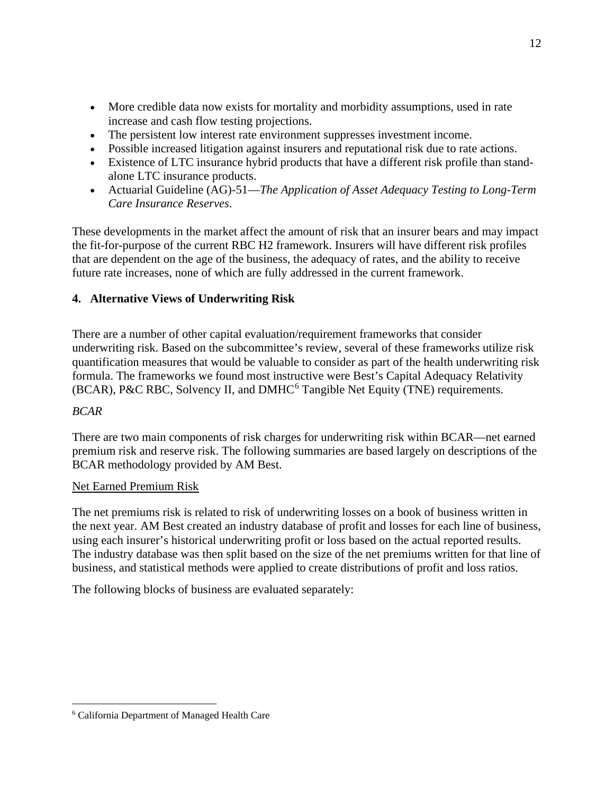- More credible data now exists for mortality and morbidity assumptions, used in rate increase and cash flow testing projections.
- The persistent low interest rate environment suppresses investment income.
- Possible increased litigation against insurers and reputational risk due to rate actions.
- Existence of LTC insurance hybrid products that have a different risk profile than standalone LTC insurance products.
- Actuarial Guideline (AG)-51—*The Application of Asset Adequacy Testing to Long-Term Care Insurance Reserves*.

These developments in the market affect the amount of risk that an insurer bears and may impact the fit-for-purpose of the current RBC H2 framework. Insurers will have different risk profiles that are dependent on the age of the business, the adequacy of rates, and the ability to receive future rate increases, none of which are fully addressed in the current framework.

# **4. Alternative Views of Underwriting Risk**

There are a number of other capital evaluation/requirement frameworks that consider underwriting risk. Based on the subcommittee's review, several of these frameworks utilize risk quantification measures that would be valuable to consider as part of the health underwriting risk formula. The frameworks we found most instructive were Best's Capital Adequacy Relativity (BCAR), P&C RBC, Solvency II, and DMHC<sup>[6](#page-11-0)</sup> Tangible Net Equity (TNE) requirements.

# *BCAR*

There are two main components of risk charges for underwriting risk within BCAR—net earned premium risk and reserve risk. The following summaries are based largely on descriptions of the BCAR methodology provided by AM Best.

# Net Earned Premium Risk

The net premiums risk is related to risk of underwriting losses on a book of business written in the next year. AM Best created an industry database of profit and losses for each line of business, using each insurer's historical underwriting profit or loss based on the actual reported results. The industry database was then split based on the size of the net premiums written for that line of business, and statistical methods were applied to create distributions of profit and loss ratios.

The following blocks of business are evaluated separately:

<span id="page-11-0"></span><sup>6</sup> California Department of Managed Health Care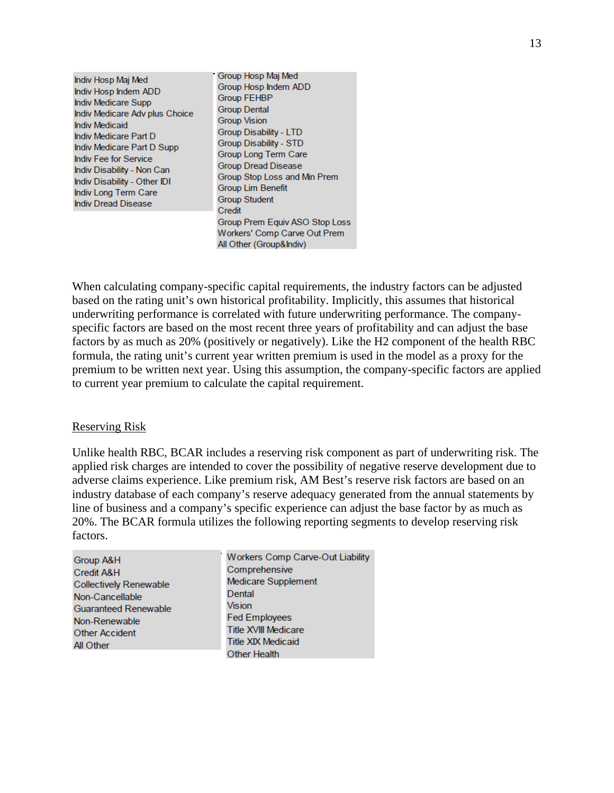Indiv Hosp Mai Med Indiv Hosp Indem ADD Indiv Medicare Supp Indiv Medicare Adv plus Choice **Indiv Medicaid** Indiv Medicare Part D Indiv Medicare Part D Supp Indiv Fee for Service Indiv Disability - Non Can Indiv Disability - Other IDI Indiv Long Term Care **Indiv Dread Disease** 

Group Hosp Maj Med Group Hosp Indem ADD **Group FEHBP Group Dental Group Vision Group Disability - LTD Group Disability - STD** Group Long Term Care **Group Dread Disease** Group Stop Loss and Min Prem **Group Lim Benefit Group Student** Credit Group Prem Equiv ASO Stop Loss Workers' Comp Carve Out Prem All Other (Group&Indiv)

When calculating company-specific capital requirements, the industry factors can be adjusted based on the rating unit's own historical profitability. Implicitly, this assumes that historical underwriting performance is correlated with future underwriting performance. The companyspecific factors are based on the most recent three years of profitability and can adjust the base factors by as much as 20% (positively or negatively). Like the H2 component of the health RBC formula, the rating unit's current year written premium is used in the model as a proxy for the premium to be written next year. Using this assumption, the company-specific factors are applied to current year premium to calculate the capital requirement.

#### Reserving Risk

Unlike health RBC, BCAR includes a reserving risk component as part of underwriting risk. The applied risk charges are intended to cover the possibility of negative reserve development due to adverse claims experience. Like premium risk, AM Best's reserve risk factors are based on an industry database of each company's reserve adequacy generated from the annual statements by line of business and a company's specific experience can adjust the base factor by as much as 20%. The BCAR formula utilizes the following reporting segments to develop reserving risk factors.

| Group A&H                     | Workers Comp Carve-Out Liability |
|-------------------------------|----------------------------------|
| Credit A&H                    | Comprehensive                    |
| <b>Collectively Renewable</b> | Medicare Supplement              |
| Non-Cancellable               | Dental                           |
| <b>Guaranteed Renewable</b>   | <b>Vision</b>                    |
| Non-Renewable                 | <b>Fed Employees</b>             |
| <b>Other Accident</b>         | <b>Title XVIII Medicare</b>      |
| All Other                     | <b>Title XIX Medicaid</b>        |
|                               | <b>Other Health</b>              |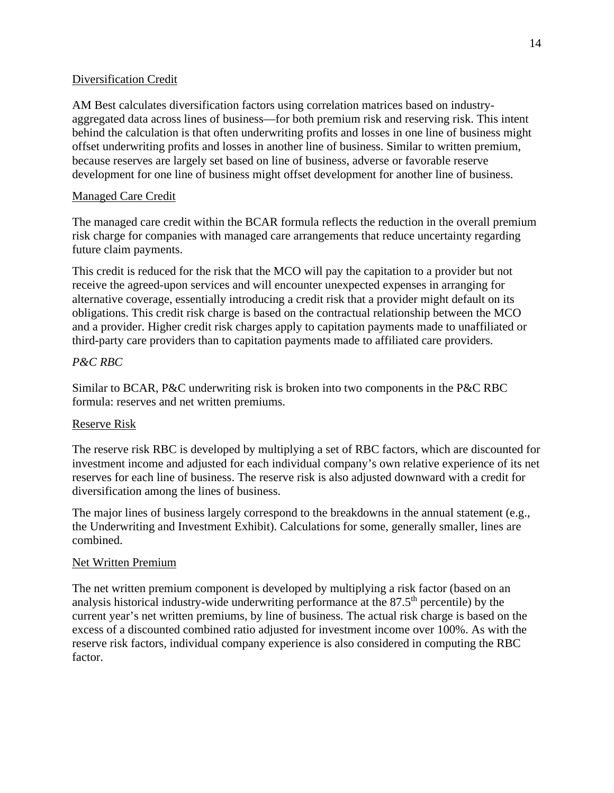## Diversification Credit

AM Best calculates diversification factors using correlation matrices based on industryaggregated data across lines of business—for both premium risk and reserving risk. This intent behind the calculation is that often underwriting profits and losses in one line of business might offset underwriting profits and losses in another line of business. Similar to written premium, because reserves are largely set based on line of business, adverse or favorable reserve development for one line of business might offset development for another line of business.

## Managed Care Credit

The managed care credit within the BCAR formula reflects the reduction in the overall premium risk charge for companies with managed care arrangements that reduce uncertainty regarding future claim payments.

This credit is reduced for the risk that the MCO will pay the capitation to a provider but not receive the agreed-upon services and will encounter unexpected expenses in arranging for alternative coverage, essentially introducing a credit risk that a provider might default on its obligations. This credit risk charge is based on the contractual relationship between the MCO and a provider. Higher credit risk charges apply to capitation payments made to unaffiliated or third-party care providers than to capitation payments made to affiliated care providers.

# *P&C RBC*

Similar to BCAR, P&C underwriting risk is broken into two components in the P&C RBC formula: reserves and net written premiums.

## Reserve Risk

The reserve risk RBC is developed by multiplying a set of RBC factors, which are discounted for investment income and adjusted for each individual company's own relative experience of its net reserves for each line of business. The reserve risk is also adjusted downward with a credit for diversification among the lines of business.

The major lines of business largely correspond to the breakdowns in the annual statement (e.g., the Underwriting and Investment Exhibit). Calculations for some, generally smaller, lines are combined.

## Net Written Premium

The net written premium component is developed by multiplying a risk factor (based on an analysis historical industry-wide underwriting performance at the  $87.5<sup>th</sup>$  percentile) by the current year's net written premiums, by line of business. The actual risk charge is based on the excess of a discounted combined ratio adjusted for investment income over 100%. As with the reserve risk factors, individual company experience is also considered in computing the RBC factor.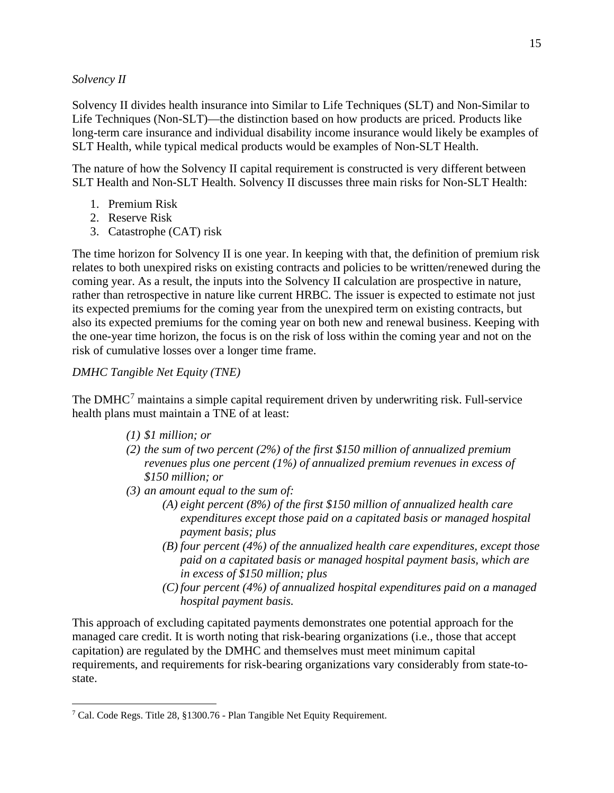## *Solvency II*

Solvency II divides health insurance into Similar to Life Techniques (SLT) and Non-Similar to Life Techniques (Non-SLT)—the distinction based on how products are priced. Products like long-term care insurance and individual disability income insurance would likely be examples of SLT Health, while typical medical products would be examples of Non-SLT Health.

The nature of how the Solvency II capital requirement is constructed is very different between SLT Health and Non-SLT Health. Solvency II discusses three main risks for Non-SLT Health:

- 1. Premium Risk
- 2. Reserve Risk
- 3. Catastrophe (CAT) risk

The time horizon for Solvency II is one year. In keeping with that, the definition of premium risk relates to both unexpired risks on existing contracts and policies to be written/renewed during the coming year. As a result, the inputs into the Solvency II calculation are prospective in nature, rather than retrospective in nature like current HRBC. The issuer is expected to estimate not just its expected premiums for the coming year from the unexpired term on existing contracts, but also its expected premiums for the coming year on both new and renewal business. Keeping with the one-year time horizon, the focus is on the risk of loss within the coming year and not on the risk of cumulative losses over a longer time frame.

# *DMHC Tangible Net Equity (TNE)*

The DMHC<sup>[7](#page-14-0)</sup> maintains a simple capital requirement driven by underwriting risk. Full-service health plans must maintain a TNE of at least:

- *(1) \$1 million; or*
- *(2) the sum of two percent (2%) of the first \$150 million of annualized premium revenues plus one percent (1%) of annualized premium revenues in excess of \$150 million; or*
- *(3) an amount equal to the sum of:*
	- *(A) eight percent (8%) of the first \$150 million of annualized health care expenditures except those paid on a capitated basis or managed hospital payment basis; plus*
	- *(B) four percent (4%) of the annualized health care expenditures, except those paid on a capitated basis or managed hospital payment basis, which are in excess of \$150 million; plus*
	- *(C) four percent (4%) of annualized hospital expenditures paid on a managed hospital payment basis.*

This approach of excluding capitated payments demonstrates one potential approach for the managed care credit. It is worth noting that risk-bearing organizations (i.e., those that accept capitation) are regulated by the DMHC and themselves must meet minimum capital requirements, and requirements for risk-bearing organizations vary considerably from state-tostate.

<span id="page-14-0"></span><sup>7</sup> Cal. Code Regs. Title 28, §1300.76 - Plan Tangible Net Equity Requirement.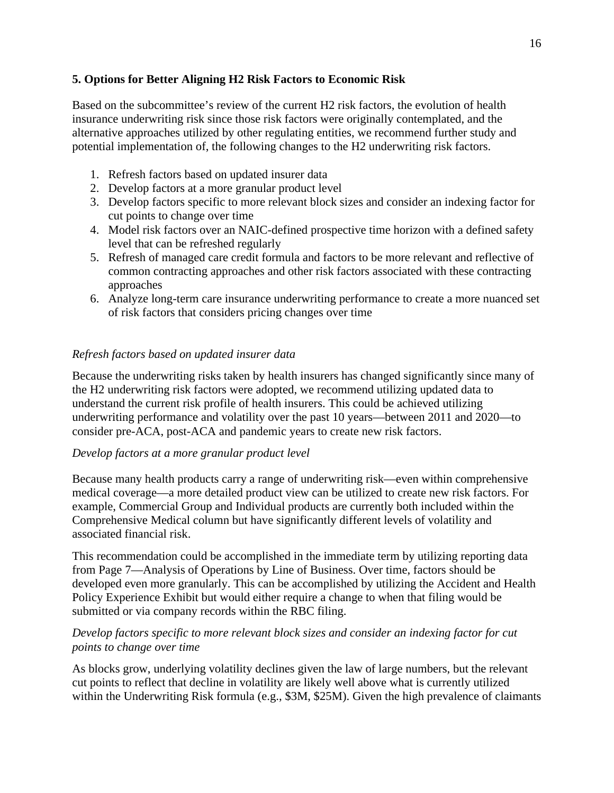# **5. Options for Better Aligning H2 Risk Factors to Economic Risk**

Based on the subcommittee's review of the current H2 risk factors, the evolution of health insurance underwriting risk since those risk factors were originally contemplated, and the alternative approaches utilized by other regulating entities, we recommend further study and potential implementation of, the following changes to the H2 underwriting risk factors.

- 1. Refresh factors based on updated insurer data
- 2. Develop factors at a more granular product level
- 3. Develop factors specific to more relevant block sizes and consider an indexing factor for cut points to change over time
- 4. Model risk factors over an NAIC-defined prospective time horizon with a defined safety level that can be refreshed regularly
- 5. Refresh of managed care credit formula and factors to be more relevant and reflective of common contracting approaches and other risk factors associated with these contracting approaches
- 6. Analyze long-term care insurance underwriting performance to create a more nuanced set of risk factors that considers pricing changes over time

## *Refresh factors based on updated insurer data*

Because the underwriting risks taken by health insurers has changed significantly since many of the H2 underwriting risk factors were adopted, we recommend utilizing updated data to understand the current risk profile of health insurers. This could be achieved utilizing underwriting performance and volatility over the past 10 years—between 2011 and 2020—to consider pre-ACA, post-ACA and pandemic years to create new risk factors.

## *Develop factors at a more granular product level*

Because many health products carry a range of underwriting risk—even within comprehensive medical coverage—a more detailed product view can be utilized to create new risk factors. For example, Commercial Group and Individual products are currently both included within the Comprehensive Medical column but have significantly different levels of volatility and associated financial risk.

This recommendation could be accomplished in the immediate term by utilizing reporting data from Page 7—Analysis of Operations by Line of Business. Over time, factors should be developed even more granularly. This can be accomplished by utilizing the Accident and Health Policy Experience Exhibit but would either require a change to when that filing would be submitted or via company records within the RBC filing.

## *Develop factors specific to more relevant block sizes and consider an indexing factor for cut points to change over time*

As blocks grow, underlying volatility declines given the law of large numbers, but the relevant cut points to reflect that decline in volatility are likely well above what is currently utilized within the Underwriting Risk formula (e.g., \$3M, \$25M). Given the high prevalence of claimants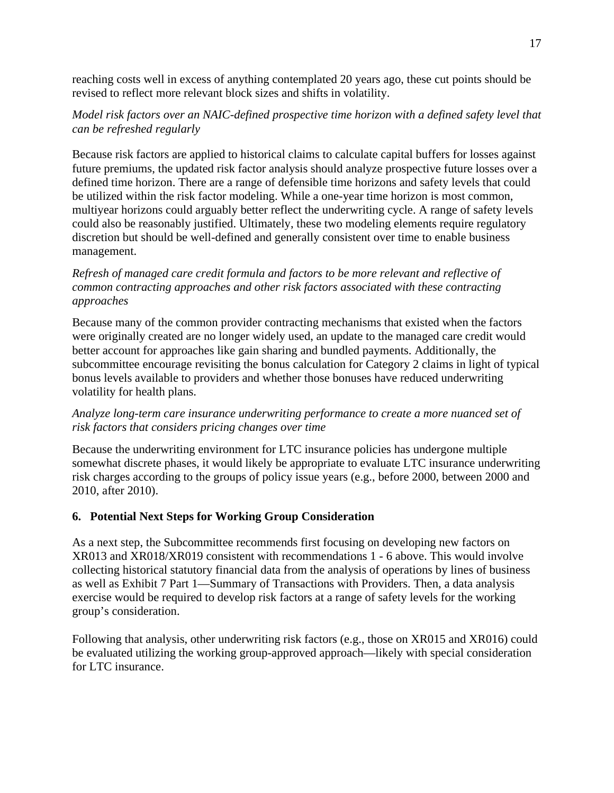reaching costs well in excess of anything contemplated 20 years ago, these cut points should be revised to reflect more relevant block sizes and shifts in volatility.

# *Model risk factors over an NAIC-defined prospective time horizon with a defined safety level that can be refreshed regularly*

Because risk factors are applied to historical claims to calculate capital buffers for losses against future premiums, the updated risk factor analysis should analyze prospective future losses over a defined time horizon. There are a range of defensible time horizons and safety levels that could be utilized within the risk factor modeling. While a one-year time horizon is most common, multiyear horizons could arguably better reflect the underwriting cycle. A range of safety levels could also be reasonably justified. Ultimately, these two modeling elements require regulatory discretion but should be well-defined and generally consistent over time to enable business management.

# *Refresh of managed care credit formula and factors to be more relevant and reflective of common contracting approaches and other risk factors associated with these contracting approaches*

Because many of the common provider contracting mechanisms that existed when the factors were originally created are no longer widely used, an update to the managed care credit would better account for approaches like gain sharing and bundled payments. Additionally, the subcommittee encourage revisiting the bonus calculation for Category 2 claims in light of typical bonus levels available to providers and whether those bonuses have reduced underwriting volatility for health plans.

## *Analyze long-term care insurance underwriting performance to create a more nuanced set of risk factors that considers pricing changes over time*

Because the underwriting environment for LTC insurance policies has undergone multiple somewhat discrete phases, it would likely be appropriate to evaluate LTC insurance underwriting risk charges according to the groups of policy issue years (e.g., before 2000, between 2000 and 2010, after 2010).

# **6. Potential Next Steps for Working Group Consideration**

As a next step, the Subcommittee recommends first focusing on developing new factors on XR013 and XR018/XR019 consistent with recommendations 1 - 6 above. This would involve collecting historical statutory financial data from the analysis of operations by lines of business as well as Exhibit 7 Part 1—Summary of Transactions with Providers. Then, a data analysis exercise would be required to develop risk factors at a range of safety levels for the working group's consideration.

Following that analysis, other underwriting risk factors (e.g., those on XR015 and XR016) could be evaluated utilizing the working group-approved approach—likely with special consideration for LTC insurance.